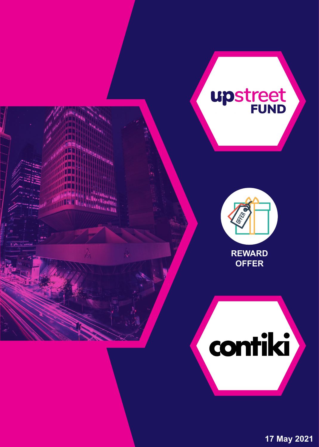

**17 May 2021**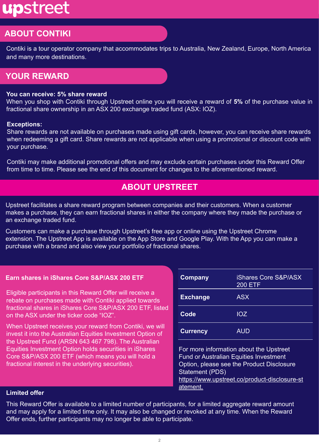# upstreet

# **ABOUT CONTIKI**

Contiki is a tour operator company that accommodates trips to Australia, New Zealand, Europe, North America and many more destinations.

## **YOUR REWARD**

#### **You can receive: 5% share reward**

When you shop with Contiki through Upstreet online you will receive a reward of **5%** of the purchase value in fractional share ownership in an ASX 200 exchange traded fund (ASX: IOZ).

#### **Exceptions:**

Share rewards are not available on purchases made using gift cards, however, you can receive share rewards when redeeming a gift card. Share rewards are not applicable when using a promotional or discount code with your purchase.

Contiki may make additional promotional offers and may exclude certain purchases under this Reward Offer from time to time. Please see the end of this document for changes to the aforementioned reward.

## **ABOUT UPSTREET**

Upstreet facilitates a share reward program between companies and their customers. When a customer makes a purchase, they can earn fractional shares in either the company where they made the purchase or an exchange traded fund.

Customers can make a purchase through Upstreet's free app or online using the Upstreet Chrome extension. The Upstreet App is available on the App Store and Google Play. With the App you can make a purchase with a brand and also view your portfolio of fractional shares.

#### **Earn shares in iShares Core S&P/ASX 200 ETF**

Eligible participants in this Reward Offer will receive a rebate on purchases made with Contiki applied towards fractional shares in iShares Core S&P/ASX 200 ETF, listed on the ASX under the ticker code "IOZ".

When Upstreet receives your reward from Contiki, we will invest it into the Australian Equities Investment Option of the Upstreet Fund (ARSN 643 467 798). The Australian Equities Investment Option holds securities in iShares Core S&P/ASX 200 ETF (which means you will hold a fractional interest in the underlying securities).

| <b>Company</b>  | <b>iShares Core S&amp;P/ASX</b><br><b>200 ETF</b> |  |
|-----------------|---------------------------------------------------|--|
| <b>Exchange</b> | <b>ASX</b>                                        |  |
| Code            | <b>IOZ</b>                                        |  |
| <b>Currency</b> | <b>AUD</b>                                        |  |

For more information about the Upstreet Fund or Australian Equities Investment Option, please see the Product Disclosure Statement (PDS) [https://www.upstreet.co/product-disclosure-st](https://www.upstreet.co/product-disclosure-statement) [atement.](https://www.upstreet.co/product-disclosure-statement)

#### **Limited offer**

This Reward Offer is available to a limited number of participants, for a limited aggregate reward amount and may apply for a limited time only. It may also be changed or revoked at any time. When the Reward Offer ends, further participants may no longer be able to participate.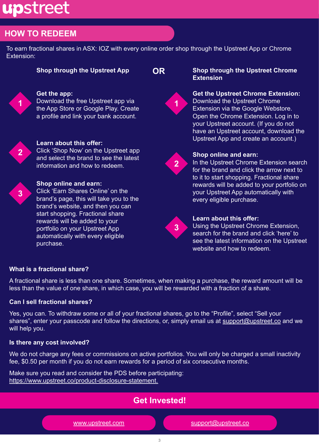# upstreet

# **HOW TO REDEEM**

To earn fractional shares in ASX: IOZ with every online order shop through the Upstreet App or Chrome Extension:

#### **Get the app:**

Download the free Upstreet app via the App Store or Google Play. Create a profile and link your bank account.



**1**

#### **Learn about this offer:**

Click 'Shop Now' on the Upstreet app and select the brand to see the latest information and how to redeem.



### **Shop online and earn:**

Click 'Earn Shares Online' on the brand's page, this will take you to the brand's website, and then you can start shopping. Fractional share rewards will be added to your portfolio on your Upstreet App automatically with every eligible purchase.

#### **Shop through the Upstreet App OR Shop through the Upstreet Chrome Extension**



#### **Get the Upstreet Chrome Extension:**  Download the Upstreet Chrome Extension via the Google Webstore. Open the Chrome Extension. Log in to your Upstreet account. (If you do not have an Upstreet account, download the Upstreet App and create an account.)



#### **Shop online and earn:**

In the Upstreet Chrome Extension search for the brand and click the arrow next to to it to start shopping. Fractional share rewards will be added to your portfolio on your Upstreet App automatically with every eligible purchase.



### **Learn about this offer:**

Using the Upstreet Chrome Extension, search for the brand and click 'here' to see the latest information on the Upstreet website and how to redeem.

### **What is a fractional share?**

A fractional share is less than one share. Sometimes, when making a purchase, the reward amount will be less than the value of one share, in which case, you will be rewarded with a fraction of a share.

### **Can I sell fractional shares?**

Yes, you can. To withdraw some or all of your fractional shares, go to the "Profile", select "Sell your shares", enter your passcode and follow the directions, or, simply email us at [support@upstreet.co](mailto:support@upstreet.co) and we will help you.

### **Is there any cost involved?**

We do not charge any fees or commissions on active portfolios. You will only be charged a small inactivity fee, \$0.50 per month if you do not earn rewards for a period of six consecutive months.

Make sure you read and consider the PDS before participating: [https://www.upstreet.co/product-disclosure-statement.](https://www.upstreet.co/product-disclosure-statement)